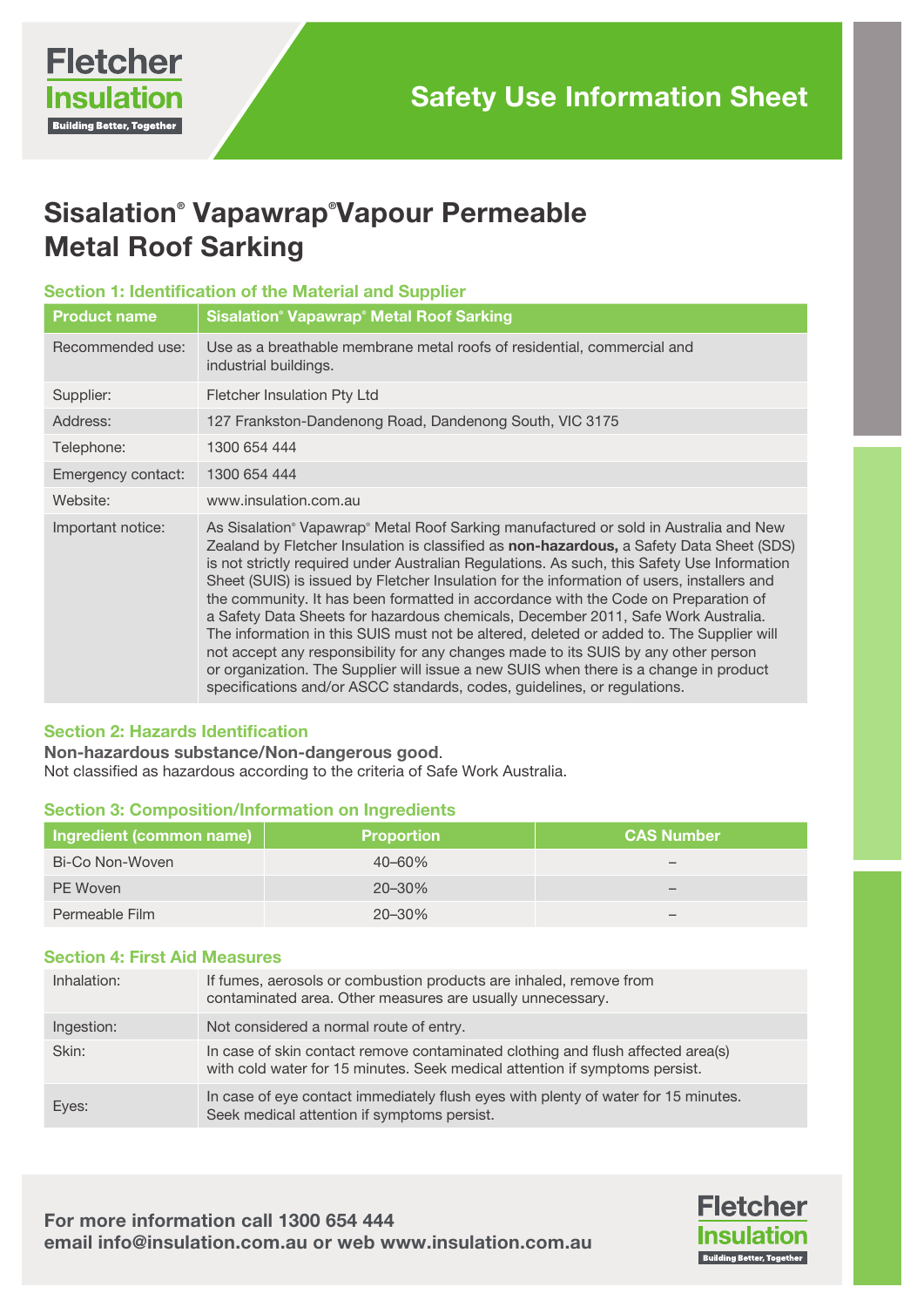# Sisalation® Vapawrap® Vapour Permeable Metal Roof Sarking

# Section 1: Identification of the Material and Supplier

| <b>Product name</b> | <b>Sisalation<sup>®</sup> Vapawrap<sup>®</sup> Metal Roof Sarking</b>                                                                                                                                                                                                                                                                                                                                                                                                                                                                                                                                                                                                                                                                                                                                                                                                                                            |
|---------------------|------------------------------------------------------------------------------------------------------------------------------------------------------------------------------------------------------------------------------------------------------------------------------------------------------------------------------------------------------------------------------------------------------------------------------------------------------------------------------------------------------------------------------------------------------------------------------------------------------------------------------------------------------------------------------------------------------------------------------------------------------------------------------------------------------------------------------------------------------------------------------------------------------------------|
| Recommended use:    | Use as a breathable membrane metal roofs of residential, commercial and<br>industrial buildings.                                                                                                                                                                                                                                                                                                                                                                                                                                                                                                                                                                                                                                                                                                                                                                                                                 |
| Supplier:           | Fletcher Insulation Pty Ltd                                                                                                                                                                                                                                                                                                                                                                                                                                                                                                                                                                                                                                                                                                                                                                                                                                                                                      |
| Address:            | 127 Frankston-Dandenong Road, Dandenong South, VIC 3175                                                                                                                                                                                                                                                                                                                                                                                                                                                                                                                                                                                                                                                                                                                                                                                                                                                          |
| Telephone:          | 1300 654 444                                                                                                                                                                                                                                                                                                                                                                                                                                                                                                                                                                                                                                                                                                                                                                                                                                                                                                     |
| Emergency contact:  | 1300 654 444                                                                                                                                                                                                                                                                                                                                                                                                                                                                                                                                                                                                                                                                                                                                                                                                                                                                                                     |
| Website:            | www.insulation.com.au                                                                                                                                                                                                                                                                                                                                                                                                                                                                                                                                                                                                                                                                                                                                                                                                                                                                                            |
| Important notice:   | As Sisalation® Vapawrap® Metal Roof Sarking manufactured or sold in Australia and New<br>Zealand by Fletcher Insulation is classified as non-hazardous, a Safety Data Sheet (SDS)<br>is not strictly required under Australian Regulations. As such, this Safety Use Information<br>Sheet (SUIS) is issued by Fletcher Insulation for the information of users, installers and<br>the community. It has been formatted in accordance with the Code on Preparation of<br>a Safety Data Sheets for hazardous chemicals, December 2011, Safe Work Australia.<br>The information in this SUIS must not be altered, deleted or added to. The Supplier will<br>not accept any responsibility for any changes made to its SUIS by any other person<br>or organization. The Supplier will issue a new SUIS when there is a change in product<br>specifications and/or ASCC standards, codes, guidelines, or regulations. |

# Section 2: Hazards Identification

Non-hazardous substance/Non-dangerous good. Not classified as hazardous according to the criteria of Safe Work Australia.

# Section 3: Composition/Information on Ingredients

| Ingredient (common name) | <b>Proportion</b> | <b>CAS Number</b> |
|--------------------------|-------------------|-------------------|
| Bi-Co Non-Woven          | $40 - 60\%$       |                   |
| PE Woven                 | $20 - 30\%$       |                   |
| Permeable Film           | $20 - 30\%$       |                   |

# Section 4: First Aid Measures

| Inhalation: | If fumes, aerosols or combustion products are inhaled, remove from<br>contaminated area. Other measures are usually unnecessary.                               |
|-------------|----------------------------------------------------------------------------------------------------------------------------------------------------------------|
| Ingestion:  | Not considered a normal route of entry.                                                                                                                        |
| Skin:       | In case of skin contact remove contaminated clothing and flush affected area(s)<br>with cold water for 15 minutes. Seek medical attention if symptoms persist. |
| Eyes:       | In case of eye contact immediately flush eyes with plenty of water for 15 minutes.<br>Seek medical attention if symptoms persist.                              |

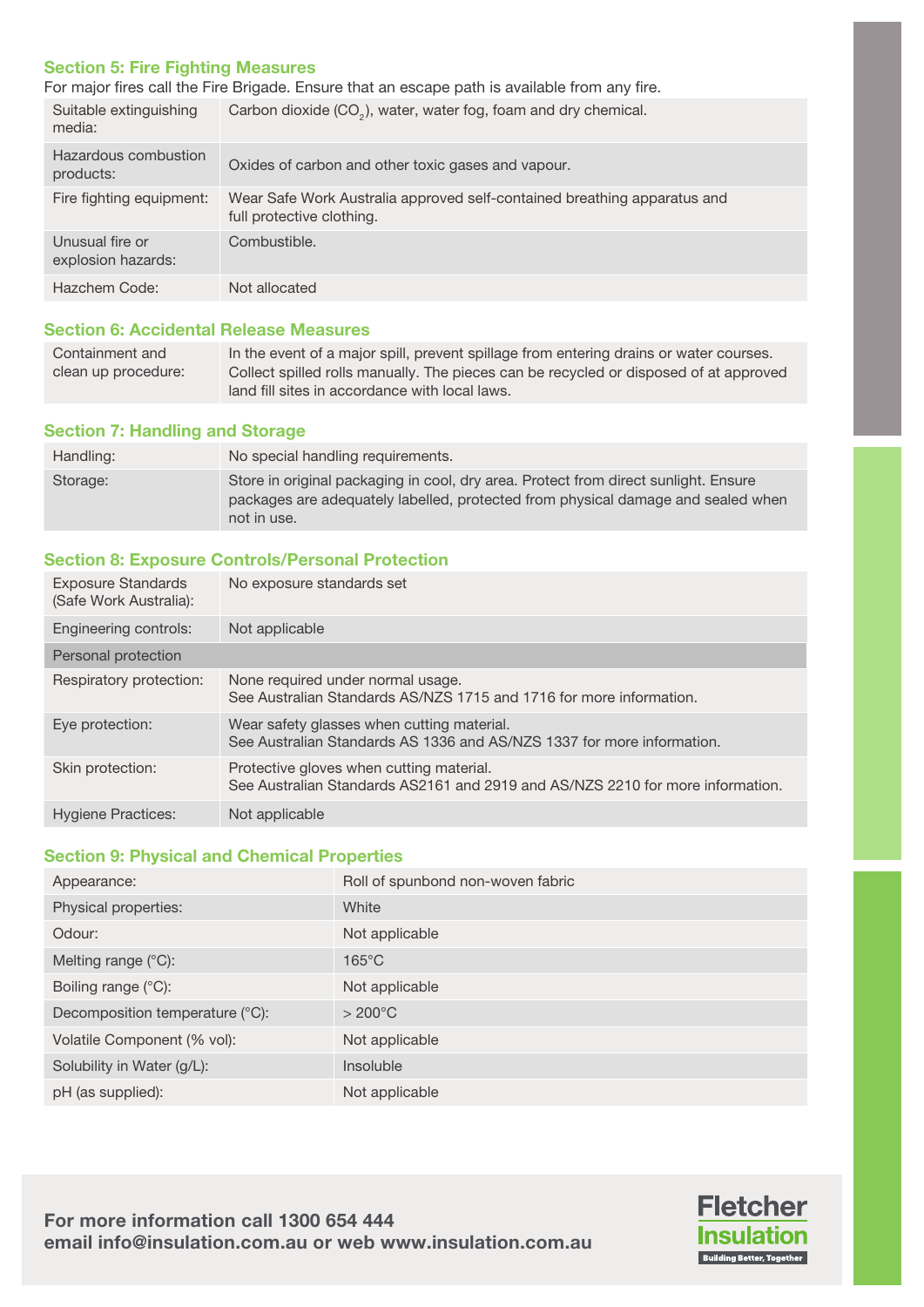# Section 5: Fire Fighting Measures

For major fires call the Fire Brigade. Ensure that an escape path is available from any fire.

| Suitable extinguishing<br>media:      | Carbon dioxide (CO <sub>2</sub> ), water, water fog, foam and dry chemical.                           |
|---------------------------------------|-------------------------------------------------------------------------------------------------------|
| Hazardous combustion<br>products:     | Oxides of carbon and other toxic gases and vapour.                                                    |
| Fire fighting equipment:              | Wear Safe Work Australia approved self-contained breathing apparatus and<br>full protective clothing. |
| Unusual fire or<br>explosion hazards: | Combustible.                                                                                          |
| Hazchem Code:                         | Not allocated                                                                                         |

# Section 6: Accidental Release Measures

| Containment and     | In the event of a major spill, prevent spillage from entering drains or water courses. |
|---------------------|----------------------------------------------------------------------------------------|
| clean up procedure: | Collect spilled rolls manually. The pieces can be recycled or disposed of at approved  |
|                     | land fill sites in accordance with local laws.                                         |

#### Section 7: Handling and Storage

| Handling: | No special handling requirements.                                                                                                                                                      |
|-----------|----------------------------------------------------------------------------------------------------------------------------------------------------------------------------------------|
| Storage:  | Store in original packaging in cool, dry area. Protect from direct sunlight. Ensure<br>packages are adequately labelled, protected from physical damage and sealed when<br>not in use. |

# Section 8: Exposure Controls/Personal Protection

| <b>Exposure Standards</b><br>(Safe Work Australia): | No exposure standards set                                                                                                  |
|-----------------------------------------------------|----------------------------------------------------------------------------------------------------------------------------|
| Engineering controls:                               | Not applicable                                                                                                             |
| Personal protection                                 |                                                                                                                            |
| Respiratory protection:                             | None required under normal usage.<br>See Australian Standards AS/NZS 1715 and 1716 for more information.                   |
| Eye protection:                                     | Wear safety glasses when cutting material.<br>See Australian Standards AS 1336 and AS/NZS 1337 for more information.       |
| Skin protection:                                    | Protective gloves when cutting material.<br>See Australian Standards AS2161 and 2919 and AS/NZS 2210 for more information. |
| <b>Hygiene Practices:</b>                           | Not applicable                                                                                                             |

#### Section 9: Physical and Chemical Properties

| Appearance:                     | Roll of spunbond non-woven fabric |
|---------------------------------|-----------------------------------|
| Physical properties:            | White                             |
| Odour:                          | Not applicable                    |
| Melting range $(^{\circ}C)$ :   | $165^{\circ}$ C                   |
| Boiling range $(^{\circ}C)$ :   | Not applicable                    |
| Decomposition temperature (°C): | $>200^{\circ}$ C                  |
| Volatile Component (% vol):     | Not applicable                    |
| Solubility in Water (g/L):      | Insoluble                         |
| pH (as supplied):               | Not applicable                    |

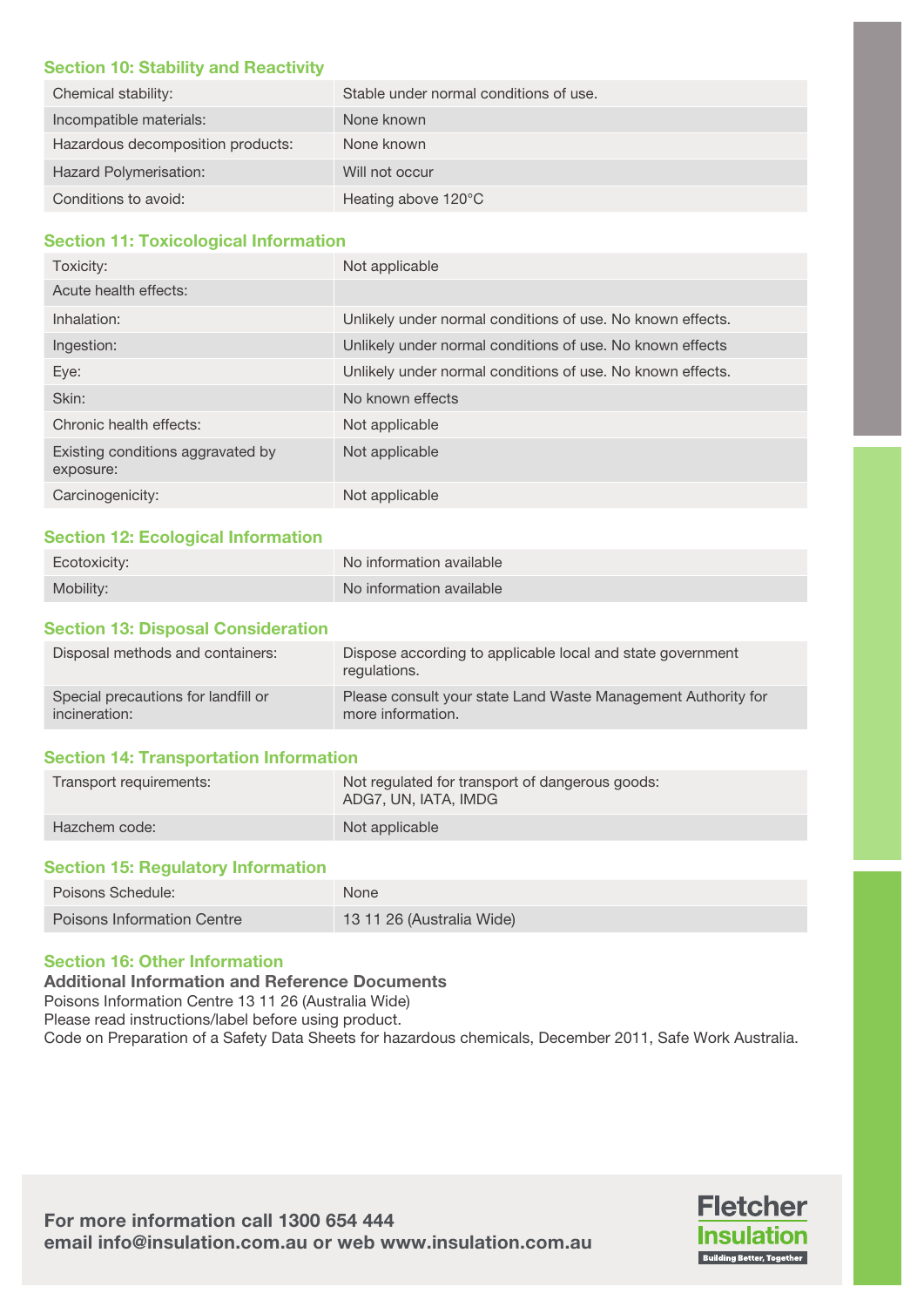#### Section 10: Stability and Reactivity

| Chemical stability:               | Stable under normal conditions of use. |
|-----------------------------------|----------------------------------------|
| Incompatible materials:           | None known                             |
| Hazardous decomposition products: | None known                             |
| Hazard Polymerisation:            | Will not occur                         |
| Conditions to avoid:              | Heating above 120°C                    |

# Section 11: Toxicological Information

| Toxicity:                                      | Not applicable                                             |
|------------------------------------------------|------------------------------------------------------------|
| Acute health effects:                          |                                                            |
| Inhalation:                                    | Unlikely under normal conditions of use. No known effects. |
| Ingestion:                                     | Unlikely under normal conditions of use. No known effects  |
| Eye:                                           | Unlikely under normal conditions of use. No known effects. |
| Skin:                                          | No known effects                                           |
| Chronic health effects:                        | Not applicable                                             |
| Existing conditions aggravated by<br>exposure: | Not applicable                                             |
| Carcinogenicity:                               | Not applicable                                             |

# Section 12: Ecological Information

| Ecotoxicity: | No information available |
|--------------|--------------------------|
| Mobility:    | No information available |

# Section 13: Disposal Consideration

| Disposal methods and containers:    | Dispose according to applicable local and state government<br>regulations. |
|-------------------------------------|----------------------------------------------------------------------------|
| Special precautions for landfill or | Please consult your state Land Waste Management Authority for              |
| incineration:                       | more information.                                                          |

# Section 14: Transportation Information

| Transport requirements: | Not regulated for transport of dangerous goods:<br>ADG7, UN, IATA, IMDG |
|-------------------------|-------------------------------------------------------------------------|
| Hazchem code:           | Not applicable                                                          |

#### Section 15: Regulatory Information

| Poisons Schedule:          | <b>None</b>               |
|----------------------------|---------------------------|
| Poisons Information Centre | 13 11 26 (Australia Wide) |

# Section 16: Other Information

Additional Information and Reference Documents

Poisons Information Centre 13 11 26 (Australia Wide)

Please read instructions/label before using product.

Code on Preparation of a Safety Data Sheets for hazardous chemicals, December 2011, Safe Work Australia.